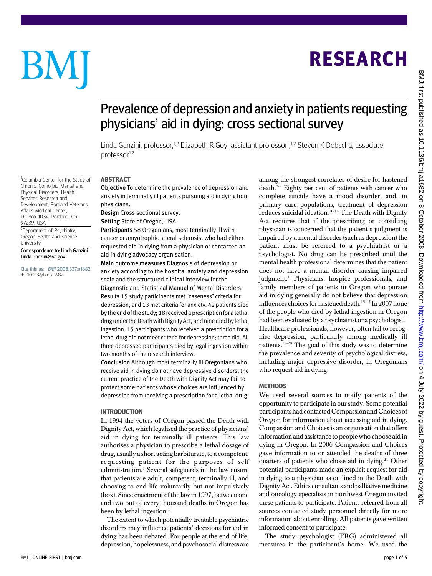### Prevalence of depression and anxiety in patients requesting physicians' aid in dying: cross sectional survey

Linda Ganzini, professor,<sup>1,2</sup> Elizabeth R Goy, assistant professor, <sup>1,2</sup> Steven K Dobscha, associate professor<sup>1,2</sup>

#### ABSTRACT

Objective To determine the prevalence of depression and anxiety in terminally ill patients pursuing aid in dying from physicians.

Design Cross sectional survey.

Setting State of Oregon, USA.

Participants 58 Oregonians, most terminally ill with cancer or amyotrophic lateral sclerosis, who had either requested aid in dying from a physician or contacted an aid in dying advocacy organisation.

Main outcome measures Diagnosis of depression or anxiety according to the hospital anxiety and depression scale and the structured clinical interview for the Diagnostic and Statistical Manual of Mental Disorders. Results 15 study participants met "caseness" criteria for depression, and 13 met criteria for anxiety. 42 patients died by the end of the study: 18 received a prescription for a lethal drug under theDeathwithDignity Act, and nine died bylethal ingestion. 15 participants who received a prescription for a lethal drug did not meet criteria for depression; three did. All three depressed participants died by legal ingestion within two months of the research interview.

Conclusion Although most terminally ill Oregonians who receive aid in dying do not have depressive disorders, the current practice of the Death with Dignity Act may fail to protect some patients whose choices are influenced by depression from receiving a prescription for a lethal drug.

#### INTRODUCTION

In 1994 the voters of Oregon passed the Death with Dignity Act, which legalised the practice of physicians' aid in dying for terminally ill patients. This law authorises a physician to prescribe a lethal dosage of drug, usually a short acting barbiturate, to a competent, requesting patient for the purposes of self administration.<sup>1</sup> Several safeguards in the law ensure that patients are adult, competent, terminally ill, and choosing to end life voluntarily but not impulsively (box). Since enactment of the law in 1997, between one and two out of every thousand deaths in Oregon has been by lethal ingestion.<sup>1</sup>

The extent to which potentially treatable psychiatric disorders may influence patients' decisions for aid in dying has been debated. For people at the end of life, depression, hopelessness, and psychosocial distress are among the strongest correlates of desire for hastened death.2-9 Eighty per cent of patients with cancer who complete suicide have a mood disorder, and, in primary care populations, treatment of depression reduces suicidal ideation.<sup>10-14</sup> The Death with Dignity Act requires that if the prescribing or consulting physician is concerned that the patient's judgment is impaired by a mental disorder (such as depression) the patient must be referred to a psychiatrist or a psychologist. No drug can be prescribed until the mental health professional determines that the patient does not have a mental disorder causing impaired judgment.<sup>1</sup> Physicians, hospice professionals, and family members of patients in Oregon who pursue aid in dying generally do not believe that depression influences choices for hastened death.<sup>15-17</sup> In 2007 none of the people who died by lethal ingestion in Oregon had been evaluated by a psychiatrist or a psychologist.<sup>1</sup> Healthcare professionals, however, often fail to recognise depression, particularly among medically ill patients.18-20 The goal of this study was to determine the prevalence and severity of psychological distress, including major depressive disorder, in Oregonians who request aid in dying.

#### **METHODS**

We used several sources to notify patients of the opportunity to participate in our study. Some potential participants had contacted Compassion and Choices of Oregon for information about accessing aid in dying. Compassion and Choices is an organisation that offers information and assistance to people who choose aid in dying in Oregon. In 2006 Compassion and Choices gave information to or attended the deaths of three quarters of patients who chose aid in dying.<sup>21</sup> Other potential participants made an explicit request for aid in dying to a physician as outlined in the Death with Dignity Act. Ethics consultants and palliative medicine and oncology specialists in northwest Oregon invited these patients to participate. Patients referred from all sources contacted study personnel directly for more information about enrolling. All patients gave written informed consent to participate.

The study psychologist (ERG) administered all measures in the participant's home. We used the

# BM

<sup>1</sup>Columbia Center for the Study of Chronic, Comorbid Mental and Physical Disorders, Health Services Research and Development, Portland Veterans Affairs Medical Center, PO Box 1034, Portland, OR

97239, USA

University

<sup>2</sup>Department of Psychiatry, Oregon Health and Science

Correspondence to: Linda Ganzini Linda.Ganzini@va.gov

Cite this as: BMJ 2008;337:a1682

doi:10.1136/bmj.a1682

## RESEARCH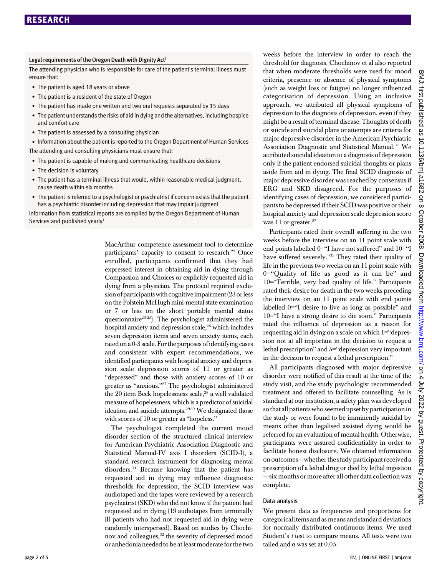#### Legal requirements of the Oregon Death with Dignity Act<sup>1</sup>

The attending physician who is responsible for care of the patient's terminal illness must ensure that:

- The patient is aged 18 years or above
- The patient is a resident of the state of Oregon
- The patient has made one written and two oral requests separated by 15 days
- The patient understands the risks of aid in dying and the alternatives, including hospice and comfort care
- The patient is assessed by a consulting physician

• Information about the patient is reported to the Oregon Department of Human Services The attending and consulting physicians must ensure that:

- The patient is capable of making and communicating healthcare decisions
- The decision is voluntary
- The patient has a terminal illness that would, within reasonable medical judgment, cause death within six months
- The patient is referred to a psychologist or psychiatrist if concern exists that the patient has a psychiatric disorder including depression that may impair judgment

Information from statistical reports are compiled by the Oregon Department of Human Services and published yearly<sup>1</sup>

> MacArthur competence assessment tool to determine participants' capacity to consent to research.<sup>22</sup> Once enrolled, participants confirmed that they had expressed interest in obtaining aid in dying through Compassion and Choices or explicitly requested aid in dying from a physician. The protocol required exclusion of participants with cognitive impairment (23 or less on the Folstein McHugh mini-mental state examination or 7 or less on the short portable mental status questionnaire<sup>23-25</sup>). The psychologist administered the hospital anxiety and depression scale,<sup>26</sup> which includes seven depression items and seven anxiety items, each rated on a 0-3 scale. Forthe purposes of identifying cases and consistent with expert recommendations, we identified participants with hospital anxiety and depression scale depression scores of 11 or greater as "depressed" and those with anxiety scores of 10 or greater as "anxious."<sup>27</sup> The psychologist administered the 20 item Beck hopelessness scale,<sup>28</sup> a well validated measure of hopelessness, which is a predictor of suicidal ideation and suicide attempts.<sup>2930</sup> We designated those with scores of 10 or greater as "hopeless."

> The psychologist completed the current mood disorder section of the structured clinical interview for American Psychiatric Association Diagnostic and Statistical Manual-IV axis I disorders (SCID-I), a standard research instrument for diagnosing mental disorders.<sup>31</sup> Because knowing that the patient has requested aid in dying may influence diagnostic thresholds for depression, the SCID interview was audiotaped and the tapes were reviewed by a research psychiatrist (SKD) who did not know if the patient had requested aid in dying (19 audiotapes from terminally ill patients who had not requested aid in dying were randomly interspersed). Based on studies by Chochinov and colleagues,<sup>32</sup> the severity of depressed mood or anhedonia needed to be at least moderate for the two

weeks before the interview in order to reach the threshold for diagnosis. Chochinov et al also reported that when moderate thresholds were used for mood criteria, presence or absence of physical symptoms (such as weight loss or fatigue) no longer influenced categorisation of depression. Using an inclusive approach, we attributed all physical symptoms of depression to the diagnosis of depression, even if they might be a result of terminal disease. Thoughts of death or suicide and suicidal plans or attempts are criteria for major depressive disorder in the American Psychiatric Association Diagnostic and Statistical Manual.<sup>31</sup> We attributed suicidal ideation to a diagnosis of depression only if the patient endorsed suicidal thoughts or plans aside from aid in dying. The final SCID diagnosis of major depressive disorder was reached by consensus if ERG and SKD disagreed. For the purposes of identifying cases of depression, we considered participants to be depressed if their SCID was positive or their hospital anxiety and depression scale depression score was 11 or greater. $27$ 

Participants rated their overall suffering in the two weeks before the interview on an 11 point scale with end points labelled 0="I have not suffered" and 10="I have suffered severely."<sup>33</sup> They rated their quality of life in the previous two weeks on an 11 point scale with 0="Quality of life as good as it can be" and 10="Terrible, very bad quality of life." Participants rated their desire for death in the two weeks preceding the interview on an 11 point scale with end points labelled 0="I desire to live as long as possible" and 10="I have a strong desire to die soon." Participants rated the influence of depression as a reason for requesting aid in dying on a scale on which 1="depression not at all important in the decision to request a lethal prescription" and 5="depression very important in the decision to request a lethal prescription."

All participants diagnosed with major depressive disorder were notified of this result at the time of the study visit, and the study psychologist recommended treatment and offered to facilitate counselling. As is standard at our institution, a safety plan was developed sothat all patients who seemed upset by participation in the study or were found to be imminently suicidal by means other than legalised assisted dying would be referred for an evaluation of mental health. Otherwise, participants were assured confidentiality in order to facilitate honest disclosure. We obtained information on outcomes—whether the study participant received a prescription of a lethal drug or died by lethal ingestion —six months or more after all other data collection was complete.

#### Data analysis

We present data as frequencies and proportions for categorical items and as means and standard deviations for normally distributed continuous items. We used Student's  $t$  test to compare means. All tests were two tailed and  $\alpha$  was set at 0.05.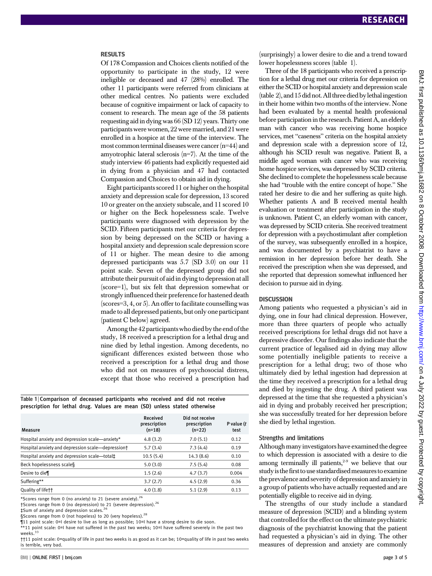#### RESULTS

Of 178 Compassion and Choices clients notified of the opportunity to participate in the study, 12 were ineligible or deceased and 47 (28%) enrolled. The other 11 participants were referred from clinicians at other medical centres. No patients were excluded because of cognitive impairment or lack of capacity to consent to research. The mean age of the 58 patients requesting aid in dying was 66 (SD 12) years. Thirty one participants were women, 22 were married, and 21 were enrolled in a hospice at the time of the interview. The most common terminal diseases were cancer(n=44) and amyotrophic lateral sclerosis (n=7). At the time of the study interview 46 patients had explicitly requested aid in dying from a physician and 47 had contacted Compassion and Choices to obtain aid in dying.

Eight participants scored 11 or higher on the hospital anxiety and depression scale for depression, 13 scored 10 or greater on the anxiety subscale, and 11 scored 10 or higher on the Beck hopelessness scale. Twelve participants were diagnosed with depression by the SCID. Fifteen participants met our criteria for depression by being depressed on the SCID or having a hospital anxiety and depression scale depression score of 11 or higher. The mean desire to die among depressed participants was 5.7 (SD 3.0) on our 11 point scale. Seven of the depressed group did not attribute their pursuit of aid in dying to depression at all (score=1), but six felt that depression somewhat or strongly influenced their preference for hastened death (scores=3, 4, or 5). An offer to facilitate counselling was made to all depressed patients, but only one participant (patient C below) agreed.

Among the 42 participants who died by the end of the study, 18 received a prescription for a lethal drug and nine died by lethal ingestion. Among decedents, no significant differences existed between those who received a prescription for a lethal drug and those who did not on measures of psychosocial distress, except that those who received a prescription had

Table 1 | Comparison of deceased participants who received and did not receive prescription for lethal drug. Values are mean (SD) unless stated otherwise

| Measure                                           | Received<br>prescription<br>$(n=18)$ | Did not receive<br>prescription<br>$(n=22)$ | P value $(t)$<br>test |
|---------------------------------------------------|--------------------------------------|---------------------------------------------|-----------------------|
| Hospital anxiety and depression scale—anxiety*    | 4.8(3.2)                             | 7.0(5.1)                                    | 0.12                  |
| Hospital anxiety and depression scale—depression† | 5.7(3.4)                             | 7.3(4.4)                                    | 0.19                  |
| Hospital anxiety and depression scale-total‡      | 10.5(5.4)                            | 14.3(8.6)                                   | 0.10                  |
| Beck hopelessness scale§                          | 5.0(3.0)                             | 7.5(5.4)                                    | 0.08                  |
| Desire to die                                     | 1.5(2.6)                             | 4.7(3.7)                                    | 0.004                 |
| Suffering**                                       | 3.7(2.7)                             | 4.5(2.9)                                    | 0.36                  |
| Quality of lifett                                 | 4.0(1.8)                             | 5.1(2.9)                                    | 0.13                  |

\*Scores range from 0 (no anxiety) to 21 (severe anxiety).<sup>26</sup>

†Scores range from 0 (no depression) to 21 (severe depression).<sup>26</sup>

‡Sum of anxiety and depression scales.<sup>26</sup>

§Scores range from 0 (not hopeless) to 20 (very hopeless).<sup>28</sup>

¶11 point scale: 0=I desire to live as long as possible; 10=I have a strong desire to die soon. \*\*11 point scale: 0=I have not suffered in the past two weeks; 10=I have suffered severely in the past two

weeks.<sup>33</sup>

††11 point scale: 0=quality of life in past two weeks is as good as it can be; 10=quality of life in past two weeks is terrible, very bad.

(surprisingly) a lower desire to die and a trend toward lower hopelessness scores (table 1).

Three of the 18 participants who received a prescription for a lethal drug met our criteria for depression on either the SCID or hospital anxiety and depression scale  $(table 2)$ , and 15 did not. All three died by lethaling estion in their home within two months of the interview. None had been evaluated by a mental health professional before participation in the research. Patient A, an elderly man with cancer who was receiving home hospice services, met "caseness" criteria on the hospital anxiety and depression scale with a depression score of 12, although his SCID result was negative. Patient B, a middle aged woman with cancer who was receiving home hospice services, was depressed by SCID criteria. She declined to complete the hopelessness scale because she had "trouble with the entire concept of hope." She rated her desire to die and her suffering as quite high. Whether patients A and B received mental health evaluation or treatment after participation in the study is unknown. Patient C, an elderly woman with cancer, was depressed by SCID criteria. She received treatment for depression with a psychostimulant after completion of the survey, was subsequently enrolled in a hospice, and was documented by a psychiatrist to have a remission in her depression before her death. She received the prescription when she was depressed, and she reported that depression somewhat influenced her decision to pursue aid in dying.

#### **DISCUSSION**

Among patients who requested a physician's aid in dying, one in four had clinical depression. However, more than three quarters of people who actually received prescriptions for lethal drugs did not have a depressive disorder. Our findings also indicate that the current practice of legalised aid in dying may allow some potentially ineligible patients to receive a prescription for a lethal drug; two of those who ultimately died by lethal ingestion had depression at the time they received a prescription for a lethal drug and died by ingesting the drug. A third patient was depressed at the time that she requested a physician's aid in dying and probably received her prescription; she was successfully treated for her depression before she died by lethal ingestion.

#### Strengths and limitations

Although many investigators have examined the degree to which depression is associated with a desire to die among terminally ill patients, $2-9$  we believe that our study is the first to use standardised measures to examine the prevalence and severity of depression and anxiety in a group of patients who have actually requested and are potentially eligible to receive aid in dying.

The strengths of our study include a standard measure of depression (SCID) and a blinding system that controlled for the effect on the ultimate psychiatric diagnosis of the psychiatrist knowing that the patient had requested a physician's aid in dying. The other measures of depression and anxiety are commonly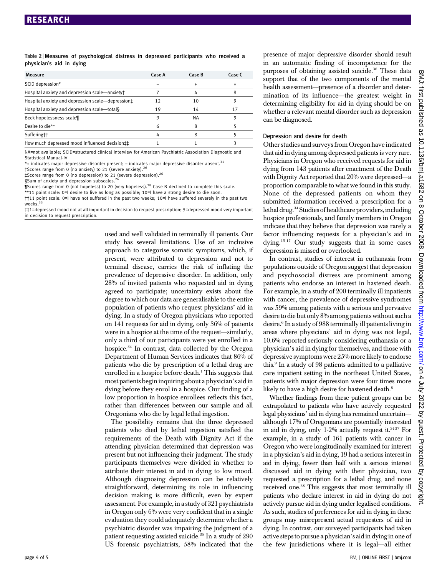#### Table 2 <sup>|</sup> Measures of psychological distress in depressed participants who received a physician's aid in dying

| Measure                                           | Case A | Case B | Case C |
|---------------------------------------------------|--------|--------|--------|
| SCID depression*                                  |        |        |        |
| Hospital anxiety and depression scale-anxiety+    |        |        |        |
| Hospital anxiety and depression scale—depression‡ | 12     | 10     |        |
| Hospital anxiety and depression scale-total§      | 19     | 14     |        |
| Beck hopelessness scale¶                          |        | NА     |        |
| Desire to die**                                   |        |        |        |
| Sufferingtt                                       |        |        |        |
| How much depressed mood influenced decision #     |        |        |        |
|                                                   |        |        |        |

NA=not available; SCID=structured clinical interview for American Psychiatric Association Diagnostic and Statistical Manual-IV

 $*$ + indicates major depressive disorder present; – indicates major depressive disorder absent.<sup>31</sup>

†Scores range from 0 (no anxiety) to 21 (severe anxiety).<sup>26</sup> ‡Scores range from 0 (no depression) to 21 (severe depression).<sup>26</sup>

§Sum of anxiety and depression subscales.

 $\frac{9}{15}$  Scores range from 0 (not hopeless) to 20 (very hopeless).<sup>28</sup> Case B declined to complete this scale.

\*\*11 point scale: 0=I desire to live as long as possible; 10=I have a strong desire to die soon.

††11 point scale: 0=I have not suffered in the past two weeks; 10=I have suffered severely in the past two weeks.

‡‡1=depressed mood not at all important in decision to request prescription; 5=depressed mood very important in decision to request prescription.

> used and well validated in terminally ill patients. Our study has several limitations. Use of an inclusive approach to categorise somatic symptoms, which, if present, were attributed to depression and not to terminal disease, carries the risk of inflating the prevalence of depressive disorder. In addition, only 28% of invited patients who requested aid in dying agreed to participate; uncertainty exists about the degree to which our data are generalisable to the entire population of patients who request physicians' aid in dying. In a study of Oregon physicians who reported on 141 requests for aid in dying, only 36% of patients were in a hospice at the time of the request—similarly, only a third of our participants were yet enrolled in a hospice.34 In contrast, data collected by the Oregon Department of Human Services indicates that 86% of patients who die by prescription of a lethal drug are enrolled in a hospice before death.<sup>1</sup> This suggests that most patients begin inquiring about a physician's aid in dying before they enrol in a hospice. Our finding of a low proportion in hospice enrollees reflects this fact, rather than differences between our sample and all Oregonians who die by legal lethal ingestion.

> The possibility remains that the three depressed patients who died by lethal ingestion satisfied the requirements of the Death with Dignity Act if the attending physician determined that depression was present but not influencing their judgment. The study participants themselves were divided in whether to attribute their interest in aid in dying to low mood. Although diagnosing depression can be relatively straightforward, determining its role in influencing decision making is more difficult, even by expert assessment. For example, in a study of 321 psychiatrists in Oregon only 6% were very confident that in a single evaluation they could adequately determine whether a psychiatric disorder was impairing the judgment of a patient requesting assisted suicide.<sup>35</sup> In a study of 290 US forensic psychiatrists, 58% indicated that the

presence of major depressive disorder should result in an automatic finding of incompetence for the purposes of obtaining assisted suicide.<sup>36</sup> These data support that of the two components of the mental health assessment—presence of a disorder and determination of its influence—the greatest weight in determining eligibility for aid in dying should be on whether a relevant mental disorder such as depression can be diagnosed.

#### Depression and desire for death

Other studies and surveys from Oregon have indicated that aid in dying among depressed patients is very rare. Physicians in Oregon who received requests for aid in dying from 143 patients after enactment of the Death with Dignity Act reported that 20% were depressed—a proportion comparable to what we found in this study. None of the depressed patients on whom they submitted information received a prescription for a lethal drug.<sup>34</sup> Studies of healthcare providers, including hospice professionals, and family members in Oregon indicate that they believe that depression was rarely a factor influencing requests for a physician's aid in dying.15-17 Our study suggests that in some cases depression is missed or overlooked.

In contrast, studies of interest in euthanasia from populations outside of Oregon suggest that depression and psychosocial distress are prominent among patients who endorse an interest in hastened death. For example, in a study of 200 terminally ill inpatients with cancer, the prevalence of depressive syndromes was 59% among patients with a serious and pervasive desire to die but only 8% among patients without such a desire.6 In a study of 988 terminally ill patients living in areas where physicians' aid in dying was not legal, 10.6% reported seriously considering euthanasia or a physician's aid in dying for themselves, and those with depressive symptoms were 25% more likely to endorse this.9 In a study of 98 patients admitted to a palliative care inpatient setting in the northeast United States, patients with major depression were four times more likely to have a high desire for hastened death.<sup>8</sup>

Whether findings from these patient groups can be extrapolated to patients who have actively requested legal physicians' aid in dying has remained uncertain although 17% of Oregonians are potentially interested in aid in dying, only 1-2% actually request it. $3437$  For example, in a study of 161 patients with cancer in Oregon who were longitudinally examined for interest in a physician's aid in dying, 19 had a serious interest in aid in dying, fewer than half with a serious interest discussed aid in dying with their physician, two requested a prescription for a lethal drug, and none received one.<sup>38</sup> This suggests that most terminally ill patients who declare interest in aid in dying do not actively pursue aid in dying under legalised conditions. As such, studies of preferences for aid in dying in these groups may misrepresent actual requesters of aid in dying. In contrast, our surveyed participants had taken active steps to pursue a physician's aid in dying in one of the few jurisdictions where it is legal—all either